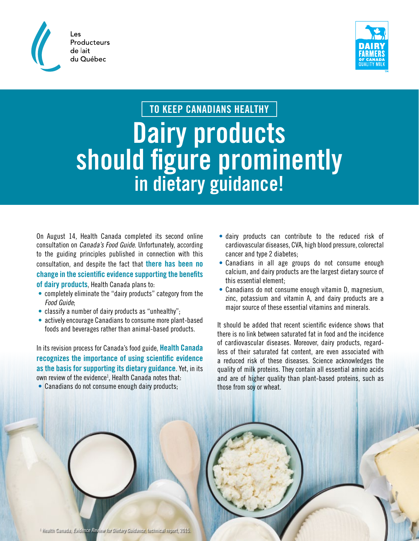



## **TO KEEP CANADIANS HEALTHY**

## **Dairy products should figure prominently in dietary guidance!**

On August 14, Health Canada completed its second online consultation on Canada's Food Guide. Unfortunately, according to the guiding principles published in connection with this consultation, and despite the fact that **there has been no change in the scientific evidence supporting the benefits of dairy products**, Health Canada plans to:

- completely eliminate the "dairy products" category from the Food Guide;
- classify a number of dairy products as "unhealthy";
- actively encourage Canadians to consume more plant-based foods and beverages rather than animal-based products.

In its revision process for Canada's food guide, **Health Canada recognizes the importance of using scientific evidence as the basis for supporting its dietary guidance**. Yet, in its own review of the evidence<sup>1</sup>, Health Canada notes that:

• Canadians do not consume enough dairy products;

- dairy products can contribute to the reduced risk of cardiovascular diseases, CVA, high blood pressure, colorectal cancer and type 2 diabetes;
- Canadians in all age groups do not consume enough calcium, and dairy products are the largest dietary source of this essential element;
- Canadians do not consume enough vitamin D, magnesium, zinc, potassium and vitamin A, and dairy products are a major source of these essential vitamins and minerals.

It should be added that recent scientific evidence shows that there is no link between saturated fat in food and the incidence of cardiovascular diseases. Moreover, dairy products, regardless of their saturated fat content, are even associated with a reduced risk of these diseases. Science acknowledges the quality of milk proteins. They contain all essential amino acids and are of higher quality than plant-based proteins, such as those from soy or wheat.